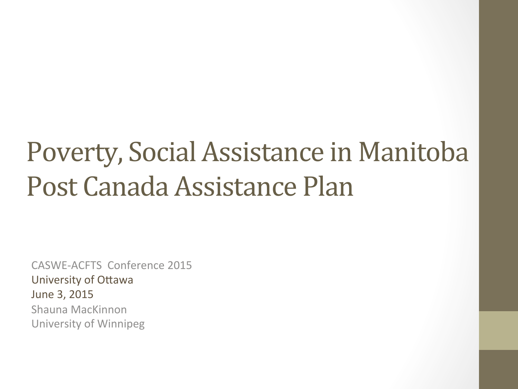## Poverty, Social Assistance in Manitoba Post Canada Assistance Plan

CASWE-ACFTS Conference 2015 University of Ottawa June 3, 2015 Shauna MacKinnon University of Winnipeg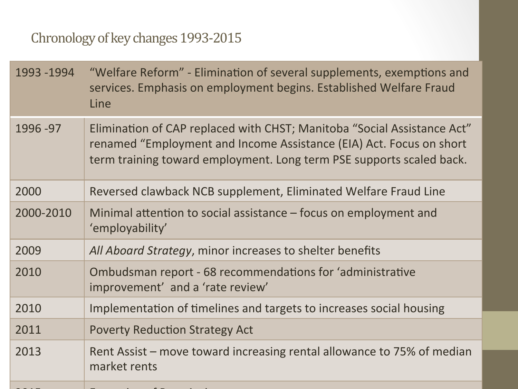## Chronology of key changes 1993-2015

| 1993 - 1994 | "Welfare Reform" - Elimination of several supplements, exemptions and<br>services. Emphasis on employment begins. Established Welfare Fraud<br>Line                                                                    |
|-------------|------------------------------------------------------------------------------------------------------------------------------------------------------------------------------------------------------------------------|
| 1996 - 97   | Elimination of CAP replaced with CHST; Manitoba "Social Assistance Act"<br>renamed "Employment and Income Assistance (EIA) Act. Focus on short<br>term training toward employment. Long term PSE supports scaled back. |
| 2000        | Reversed clawback NCB supplement, Eliminated Welfare Fraud Line                                                                                                                                                        |
| 2000-2010   | Minimal attention to social assistance – focus on employment and<br>'employability'                                                                                                                                    |
| 2009        | All Aboard Strategy, minor increases to shelter benefits                                                                                                                                                               |
| 2010        | Ombudsman report - 68 recommendations for 'administrative<br>improvement' and a 'rate review'                                                                                                                          |
| 2010        | Implementation of timelines and targets to increases social housing                                                                                                                                                    |
| 2011        | <b>Poverty Reduction Strategy Act</b>                                                                                                                                                                                  |
| 2013        | Rent Assist – move toward increasing rental allowance to 75% of median<br>market rents                                                                                                                                 |
|             |                                                                                                                                                                                                                        |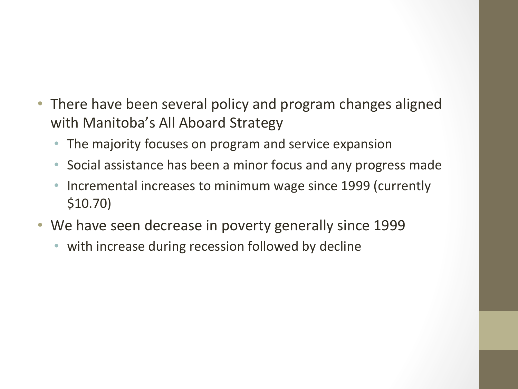- There have been several policy and program changes aligned with Manitoba's All Aboard Strategy
	- The majority focuses on program and service expansion
	- Social assistance has been a minor focus and any progress made
	- Incremental increases to minimum wage since 1999 (currently \$10.70)
- We have seen decrease in poverty generally since 1999
	- with increase during recession followed by decline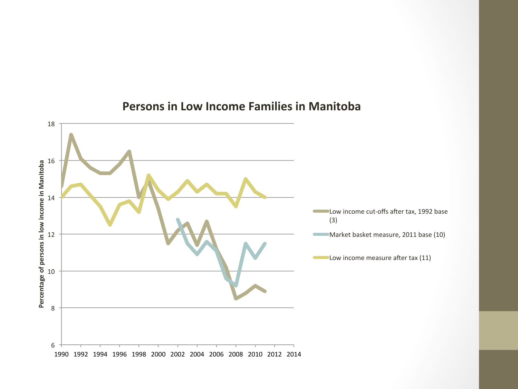## **Persons in Low Income Families in Manitoba**

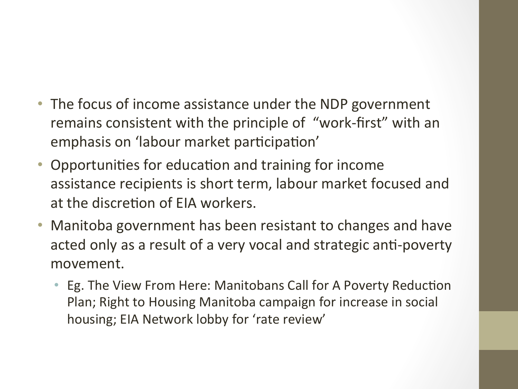- The focus of income assistance under the NDP government remains consistent with the principle of "work-first" with an emphasis on 'labour market participation'
- Opportunities for education and training for income assistance recipients is short term, labour market focused and at the discretion of EIA workers.
- Manitoba government has been resistant to changes and have acted only as a result of a very vocal and strategic anti-poverty movement.
	- Eg. The View From Here: Manitobans Call for A Poverty Reduction Plan; Right to Housing Manitoba campaign for increase in social housing; EIA Network lobby for 'rate review'